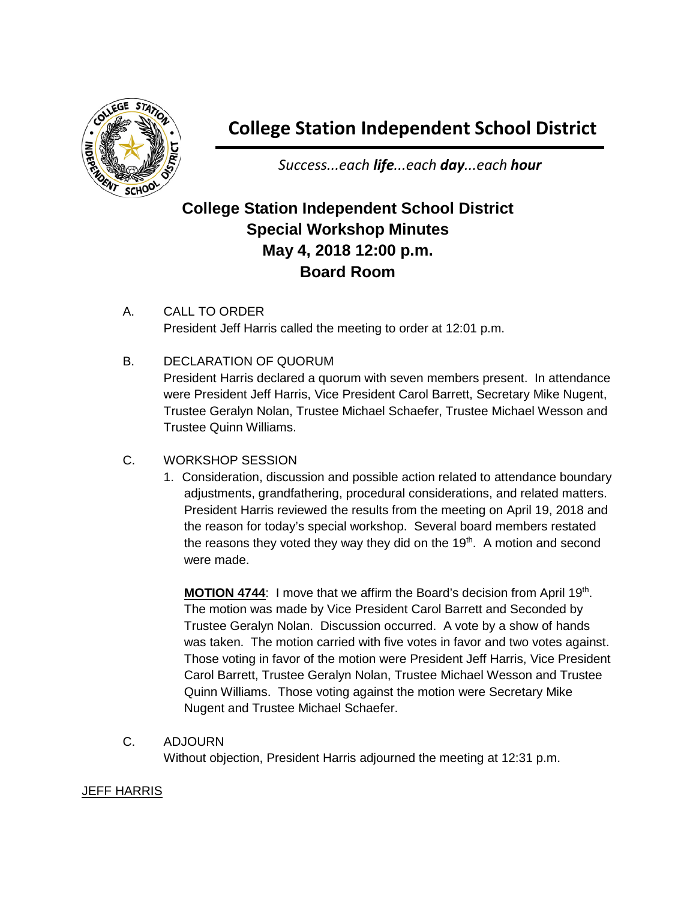

## **College Station Independent School District**

*Success...each life...each day...each hour*

## **College Station Independent School District Special Workshop Minutes May 4, 2018 12:00 p.m. Board Room**

- A. CALL TO ORDER President Jeff Harris called the meeting to order at 12:01 p.m.
- B. DECLARATION OF QUORUM

President Harris declared a quorum with seven members present. In attendance were President Jeff Harris, Vice President Carol Barrett, Secretary Mike Nugent, Trustee Geralyn Nolan, Trustee Michael Schaefer, Trustee Michael Wesson and Trustee Quinn Williams.

- C. WORKSHOP SESSION
	- 1. Consideration, discussion and possible action related to attendance boundary adjustments, grandfathering, procedural considerations, and related matters. President Harris reviewed the results from the meeting on April 19, 2018 and the reason for today's special workshop. Several board members restated the reasons they voted they way they did on the  $19<sup>th</sup>$ . A motion and second were made.

**MOTION 4744:** I move that we affirm the Board's decision from April 19th. The motion was made by Vice President Carol Barrett and Seconded by Trustee Geralyn Nolan. Discussion occurred. A vote by a show of hands was taken. The motion carried with five votes in favor and two votes against. Those voting in favor of the motion were President Jeff Harris, Vice President Carol Barrett, Trustee Geralyn Nolan, Trustee Michael Wesson and Trustee Quinn Williams. Those voting against the motion were Secretary Mike Nugent and Trustee Michael Schaefer.

C. ADJOURN

Without objection, President Harris adjourned the meeting at 12:31 p.m.

## JEFF HARRIS